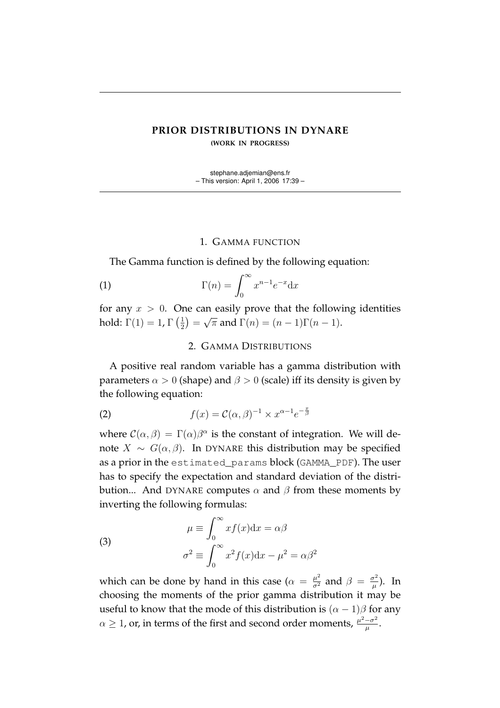## **PRIOR DISTRIBUTIONS IN DYNARE (WORK IN PROGRESS)**

stephane.adjemian@ens.fr – This version: April 1, 2006 17:39 –

## 1. GAMMA FUNCTION

The Gamma function is defined by the following equation:

(1) 
$$
\Gamma(n) = \int_0^\infty x^{n-1} e^{-x} dx
$$

for any  $x > 0$ . One can easily prove that the following identities hold:  $\Gamma(1) = 1$ ,  $\Gamma\left(\frac{1}{2}\right)$  $(\frac{1}{2}) =$ √  $\overline{\pi}$  and  $\Gamma(n) = (n-1)\Gamma(n-1)$ .

## 2. GAMMA DISTRIBUTIONS

A positive real random variable has a gamma distribution with parameters  $\alpha > 0$  (shape) and  $\beta > 0$  (scale) iff its density is given by the following equation:

(2) 
$$
f(x) = \mathcal{C}(\alpha, \beta)^{-1} \times x^{\alpha - 1} e^{-\frac{x}{\beta}}
$$

where  $\mathcal{C}(\alpha, \beta) = \Gamma(\alpha)\beta^{\alpha}$  is the constant of integration. We will denote  $X \sim G(\alpha, \beta)$ . In DYNARE this distribution may be specified as a prior in the estimated\_params block (GAMMA\_PDF). The user has to specify the expectation and standard deviation of the distribution... And DYNARE computes  $\alpha$  and  $\beta$  from these moments by inverting the following formulas:

(3)  
\n
$$
\mu \equiv \int_0^\infty x f(x) dx = \alpha \beta
$$
\n
$$
\sigma^2 \equiv \int_0^\infty x^2 f(x) dx - \mu^2 = \alpha \beta^2
$$

which can be done by hand in this case ( $\alpha = \frac{\mu^2}{\sigma^2}$  and  $\beta = \frac{\sigma^2}{\mu}$  $(\frac{\tau^2}{\mu})$ . In choosing the moments of the prior gamma distribution it may be useful to know that the mode of this distribution is  $(\alpha - 1)\beta$  for any  $\alpha \geq 1$ , or, in terms of the first and second order moments,  $\frac{\mu^2 - \sigma^2}{\mu}$  $\frac{-\sigma^2}{\mu}$  .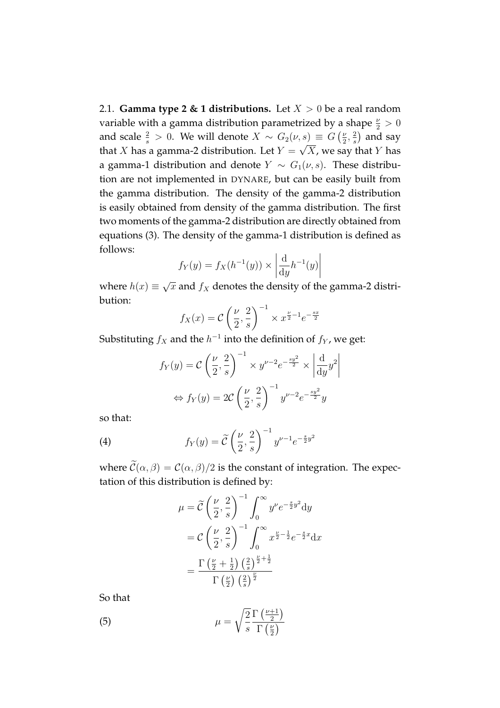2.1. **Gamma type 2 & 1 distributions.** Let  $X > 0$  be a real random variable with a gamma distribution parametrized by a shape  $\frac{\nu}{2} > 0$ and scale  $\frac{2}{s} > 0$ . We will denote  $X \sim G_2(\nu, s) \equiv G\left(\frac{\nu}{2}\right)$  $\frac{\nu}{2}, \frac{2}{s}$  $(s) \equiv G\left(\frac{\nu}{2}, \frac{2}{s}\right)$  and say that X has a gamma-2 distribution. Let  $Y = \sqrt{X}$ , we say that Y has a gamma-1 distribution and denote  $Y \sim G_1(\nu, s)$ . These distribution are not implemented in DYNARE, but can be easily built from the gamma distribution. The density of the gamma-2 distribution is easily obtained from density of the gamma distribution. The first two moments of the gamma-2 distribution are directly obtained from equations (3). The density of the gamma-1 distribution is defined as follows:  $\overline{a}$  $\overline{a}$ 

$$
f_Y(y) = f_X(h^{-1}(y)) \times \left| \frac{d}{dy} h^{-1}(y) \right|
$$

where  $h(x) \equiv$ √  $\overline{x}$  and  $f_X$  denotes the density of the gamma-2 distribution:  $\overline{a}$  $\sqrt{-1}$ 

$$
f_X(x) = C\left(\frac{\nu}{2}, \frac{2}{s}\right)^{-1} \times x^{\frac{\nu}{2}-1}e^{-\frac{sx}{2}}
$$

Substituting  $f_X$  and the  $h^{-1}$  into the definition of  $f_Y$ , we get:

$$
f_Y(y) = C\left(\frac{\nu}{2}, \frac{2}{s}\right)^{-1} \times y^{\nu - 2} e^{-\frac{sy^2}{2}} \times \left|\frac{d}{dy}y^2\right|
$$

$$
\Leftrightarrow f_Y(y) = 2C\left(\frac{\nu}{2}, \frac{2}{s}\right)^{-1} y^{\nu - 2} e^{-\frac{sy^2}{2}}y
$$

so that:

(4) 
$$
f_Y(y) = \widetilde{C}\left(\frac{\nu}{2}, \frac{2}{s}\right)^{-1} y^{\nu - 1} e^{-\frac{s}{2}y^2}
$$

where  $\mathcal{C}(\alpha, \beta) = \mathcal{C}(\alpha, \beta)/2$  is the constant of integration. The expectation of this distribution is defined by:

$$
\mu = \widetilde{C} \left(\frac{\nu}{2}, \frac{2}{s}\right)^{-1} \int_0^\infty y^\nu e^{-\frac{s}{2}y^2} dy
$$

$$
= C \left(\frac{\nu}{2}, \frac{2}{s}\right)^{-1} \int_0^\infty x^{\frac{\nu}{2} - \frac{1}{2}} e^{-\frac{s}{2}x} dx
$$

$$
= \frac{\Gamma\left(\frac{\nu}{2} + \frac{1}{2}\right) \left(\frac{2}{s}\right)^{\frac{\nu}{2} + \frac{1}{2}}}{\Gamma\left(\frac{\nu}{2}\right) \left(\frac{2}{s}\right)^{\frac{\nu}{2}}}
$$

So that

(5) 
$$
\mu = \sqrt{\frac{2}{s}} \frac{\Gamma\left(\frac{\nu+1}{2}\right)}{\Gamma\left(\frac{\nu}{2}\right)}
$$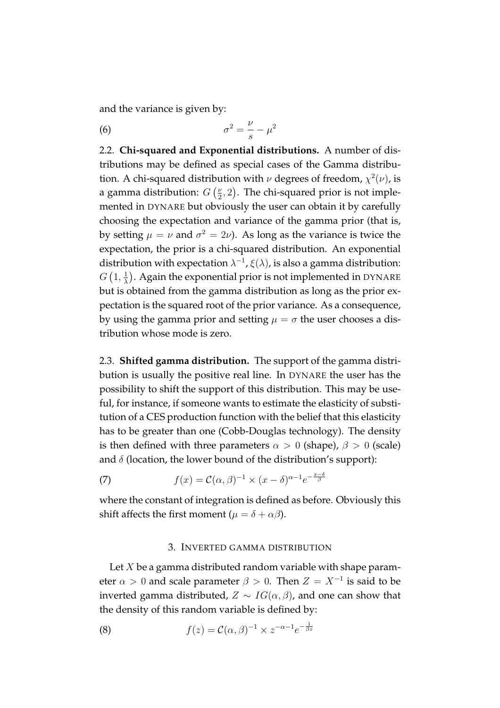and the variance is given by:

$$
\sigma^2 = \frac{\nu}{s} - \mu^2
$$

2.2. **Chi-squared and Exponential distributions.** A number of distributions may be defined as special cases of the Gamma distribution. A chi-squared distribution with  $\nu$  degrees of freedom,  $\chi^2(\nu)$ , is a gamma distribution:  $G$ νι<br>*(ν*  $\frac{\nu}{2}$ , 2 µ<br>∖ . The chi-squared prior is not implemented in DYNARE but obviously the user can obtain it by carefully choosing the expectation and variance of the gamma prior (that is, by setting  $\mu = \nu$  and  $\sigma^2 = 2\nu$ ). As long as the variance is twice the expectation, the prior is a chi-squared distribution. An exponential distribution with expectation  $\lambda^{-1}$ ,  $\xi(\lambda)$ , is also a gamma distribution:  $G\left(1,\frac{1}{\lambda}\right)$  $\frac{1}{\lambda}$ ). Again the exponential prior is not implemented in DYNARE but is obtained from the gamma distribution as long as the prior expectation is the squared root of the prior variance. As a consequence, by using the gamma prior and setting  $\mu = \sigma$  the user chooses a distribution whose mode is zero.

2.3. **Shifted gamma distribution.** The support of the gamma distribution is usually the positive real line. In DYNARE the user has the possibility to shift the support of this distribution. This may be useful, for instance, if someone wants to estimate the elasticity of substitution of a CES production function with the belief that this elasticity has to be greater than one (Cobb-Douglas technology). The density is then defined with three parameters  $\alpha > 0$  (shape),  $\beta > 0$  (scale) and  $\delta$  (location, the lower bound of the distribution's support):

(7) 
$$
f(x) = \mathcal{C}(\alpha, \beta)^{-1} \times (x - \delta)^{\alpha - 1} e^{-\frac{x - \delta}{\beta}}
$$

where the constant of integration is defined as before. Obviously this shift affects the first moment ( $\mu = \delta + \alpha \beta$ ).

## 3. INVERTED GAMMA DISTRIBUTION

Let  $X$  be a gamma distributed random variable with shape parameter  $\alpha > 0$  and scale parameter  $\beta > 0$ . Then  $Z = X^{-1}$  is said to be inverted gamma distributed,  $Z \sim IG(\alpha, \beta)$ , and one can show that the density of this random variable is defined by:

(8) 
$$
f(z) = C(\alpha, \beta)^{-1} \times z^{-\alpha - 1} e^{-\frac{1}{\beta z}}
$$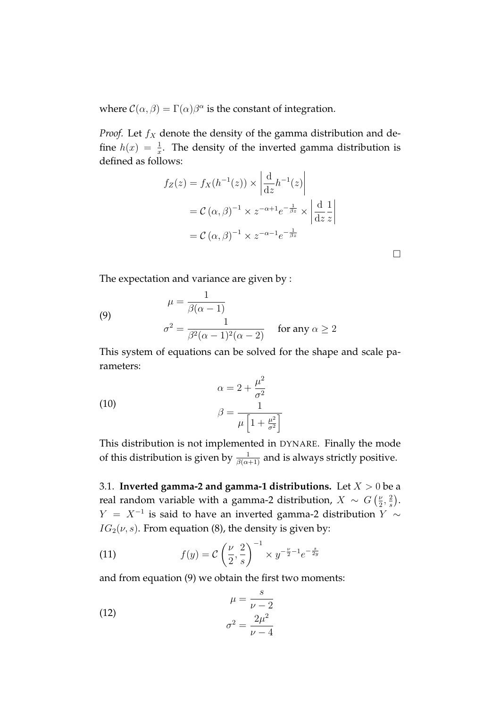where  $\mathcal{C}(\alpha, \beta) = \Gamma(\alpha)\beta^{\alpha}$  is the constant of integration.

*Proof.* Let  $f_X$  denote the density of the gamma distribution and define  $h(x) = \frac{1}{x}$ . The density of the inverted gamma distribution is defined as follows:  $\overline{a}$  $\overline{a}$ 

$$
f_Z(z) = f_X(h^{-1}(z)) \times \left| \frac{d}{dz} h^{-1}(z) \right|
$$
  
=  $C(\alpha, \beta)^{-1} \times z^{-\alpha+1} e^{-\frac{1}{\beta z}} \times \left| \frac{d}{dz} \frac{1}{z} \right|$   
=  $C(\alpha, \beta)^{-1} \times z^{-\alpha-1} e^{-\frac{1}{\beta z}}$ 

 $\Box$ 

The expectation and variance are given by :

(9) 
$$
\mu = \frac{1}{\beta(\alpha - 1)}
$$

$$
\sigma^2 = \frac{1}{\beta^2(\alpha - 1)^2(\alpha - 2)} \quad \text{for any } \alpha \ge 2
$$

This system of equations can be solved for the shape and scale parameters:

 $\sim$ 

(10)  
\n
$$
\alpha = 2 + \frac{\mu^2}{\sigma^2}
$$
\n
$$
\beta = \frac{1}{\mu \left[1 + \frac{\mu^2}{\sigma^2}\right]}
$$

This distribution is not implemented in DYNARE. Finally the mode of this distribution is given by  $\frac{1}{\beta(\alpha+1)}$  and is always strictly positive.

3.1. **Inverted gamma-2 and gamma-1 distributions.** Let  $X > 0$  be a real random variable with a gamma-2 distribution,  $X \sim G$ ν<br>(ν  $\frac{\nu}{2}, \frac{2}{s}$ s  $\tilde{\zeta}$ .  $Y = X^{-1}$  is said to have an inverted gamma-2 distribution  $Y \sim$  $IG_2(\nu, s)$ . From equation (8), the density is given by:

(11) 
$$
f(y) = C \left(\frac{\nu}{2}, \frac{2}{s}\right)^{-1} \times y^{-\frac{\nu}{2}-1} e^{-\frac{s}{2y}}
$$

and from equation (9) we obtain the first two moments:

(12) 
$$
\mu = \frac{s}{\nu - 2}
$$

$$
\sigma^2 = \frac{2\mu^2}{\nu - 4}
$$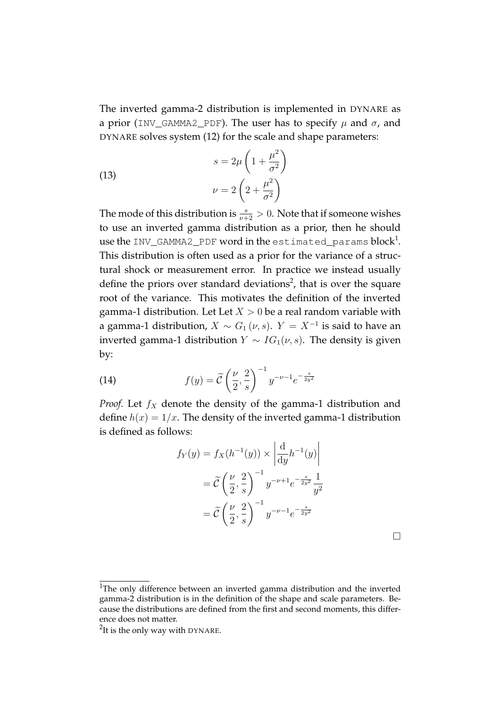The inverted gamma-2 distribution is implemented in DYNARE as a prior (INV\_GAMMA2\_PDF). The user has to specify  $\mu$  and  $\sigma$ , and DYNARE solves system (12) for the scale and shape parameters:

(13)  

$$
s = 2\mu \left(1 + \frac{\mu^2}{\sigma^2}\right)
$$

$$
\nu = 2\left(2 + \frac{\mu^2}{\sigma^2}\right)
$$

The mode of this distribution is  $\frac{s}{\nu+2} > 0$ . Note that if someone wishes to use an inverted gamma distribution as a prior, then he should use the INV\_GAMMA2\_PDF word in the <code>estimated\_params</code> block $^1$ . This distribution is often used as a prior for the variance of a structural shock or measurement error. In practice we instead usually define the priors over standard deviations<sup>2</sup>, that is over the square root of the variance. This motivates the definition of the inverted gamma-1 distribution. Let Let  $X > 0$  be a real random variable with a gamma-1 distribution,  $X \sim G_1(\nu, s)$ .  $Y = X^{-1}$  is said to have an inverted gamma-1 distribution  $Y ∼ IG_1(v, s)$ . The density is given by:

(14) 
$$
f(y) = \widetilde{C}\left(\frac{\nu}{2}, \frac{2}{s}\right)^{-1} y^{-\nu - 1} e^{-\frac{s}{2y^2}}
$$

*Proof.* Let  $f_X$  denote the density of the gamma-1 distribution and define  $h(x) = 1/x$ . The density of the inverted gamma-1 distribution is defined as follows:  $\overline{a}$  $\overline{a}$ 

$$
f_Y(y) = f_X(h^{-1}(y)) \times \left| \frac{d}{dy} h^{-1}(y) \right|
$$
  
=  $\widetilde{C} \left( \frac{\nu}{2}, \frac{2}{s} \right)^{-1} y^{-\nu+1} e^{-\frac{s}{2y^2}} \frac{1}{y^2}$   
=  $\widetilde{C} \left( \frac{\nu}{2}, \frac{2}{s} \right)^{-1} y^{-\nu-1} e^{-\frac{s}{2y^2}}$ 

<sup>&</sup>lt;sup>1</sup>The only difference between an inverted gamma distribution and the inverted gamma-2 distribution is in the definition of the shape and scale parameters. Because the distributions are defined from the first and second moments, this difference does not matter.

 $2$ It is the only way with DYNARE.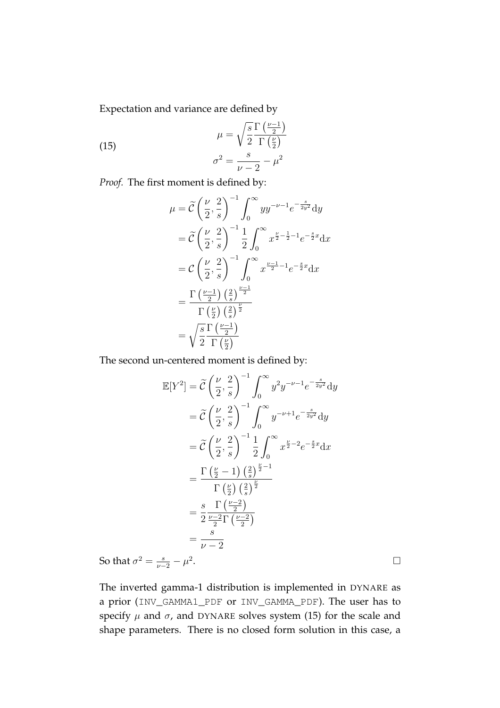Expectation and variance are defined by

(15) 
$$
\mu = \sqrt{\frac{s}{2}} \frac{\Gamma\left(\frac{\nu - 1}{2}\right)}{\Gamma\left(\frac{\nu}{2}\right)}
$$

$$
\sigma^2 = \frac{s}{\nu - 2} - \mu^2
$$

*Proof.* The first moment is defined by:

$$
\mu = \tilde{C} \left(\frac{\nu}{2}, \frac{2}{s}\right)^{-1} \int_0^\infty yy^{-\nu - 1} e^{-\frac{s}{2y^2}} dy
$$
  
\n
$$
= \tilde{C} \left(\frac{\nu}{2}, \frac{2}{s}\right)^{-1} \frac{1}{2} \int_0^\infty x^{\frac{\nu}{2} - \frac{1}{2} - 1} e^{-\frac{s}{2}x} dx
$$
  
\n
$$
= C \left(\frac{\nu}{2}, \frac{2}{s}\right)^{-1} \int_0^\infty x^{\frac{\nu - 1}{2} - 1} e^{-\frac{s}{2}x} dx
$$
  
\n
$$
= \frac{\Gamma\left(\frac{\nu - 1}{2}\right) \left(\frac{2}{s}\right)^{\frac{\nu - 1}{2}}}{\Gamma\left(\frac{\nu}{2}\right) \left(\frac{2}{s}\right)^{\frac{\nu}{2}}}
$$
  
\n
$$
= \sqrt{\frac{s}{2} \Gamma\left(\frac{\nu - 1}{2}\right)}
$$

The second un-centered moment is defined by:

$$
\mathbb{E}[Y^2] = \tilde{C} \left(\frac{\nu}{2}, \frac{2}{s}\right)^{-1} \int_0^\infty y^2 y^{-\nu - 1} e^{-\frac{s}{2y^2}} dy
$$
  
\n
$$
= \tilde{C} \left(\frac{\nu}{2}, \frac{2}{s}\right)^{-1} \int_0^\infty y^{-\nu + 1} e^{-\frac{s}{2y^2}} dy
$$
  
\n
$$
= \tilde{C} \left(\frac{\nu}{2}, \frac{2}{s}\right)^{-1} \frac{1}{2} \int_0^\infty x^{\frac{\nu}{2} - 2} e^{-\frac{s}{2}x} dx
$$
  
\n
$$
= \frac{\Gamma\left(\frac{\nu}{2} - 1\right) \left(\frac{2}{s}\right)^{\frac{\nu}{2} - 1}}{\Gamma\left(\frac{\nu}{2}\right) \left(\frac{2}{s}\right)^{\frac{\nu}{2}}}
$$
  
\n
$$
= \frac{s}{2} \frac{\Gamma\left(\frac{\nu - 2}{2}\right)}{\frac{\nu - 2}{2} \Gamma\left(\frac{\nu - 2}{2}\right)}
$$
  
\n
$$
= \frac{s}{\nu - 2}
$$

So that  $\sigma^2 = \frac{s}{\nu-2} - \mu^2$ 

The inverted gamma-1 distribution is implemented in DYNARE as a prior (INV\_GAMMA1\_PDF or INV\_GAMMA\_PDF). The user has to specify  $\mu$  and  $\sigma$ , and DYNARE solves system (15) for the scale and shape parameters. There is no closed form solution in this case, a

. The contract of the contract of the contract of  $\Box$